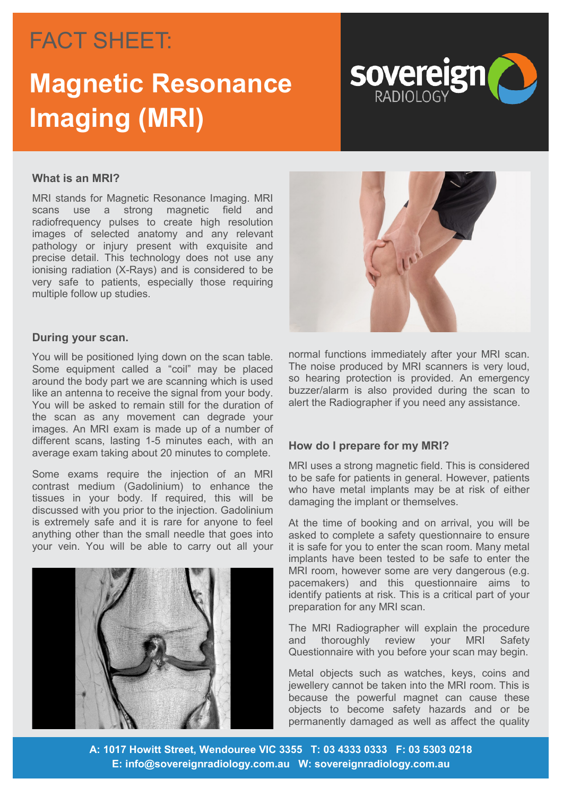## FACT SHEET: FACT SHEET:

# **Magnetic Resonance Imaging (MRI)**



## **What is an MRI?**

MRI stands for Magnetic Resonance Imaging. MRI scans use a strong magnetic field and radiofrequency pulses to create high resolution images of selected anatomy and any relevant pathology or injury present with exquisite and precise detail. This technology does not use any ionising radiation (X-Rays) and is considered to be very safe to patients, especially those requiring multiple follow up studies.



### **During your scan.**

You will be positioned lying down on the scan table. Some equipment called a "coil" may be placed around the body part we are scanning which is used like an antenna to receive the signal from your body. You will be asked to remain still for the duration of the scan as any movement can degrade your images. An MRI exam is made up of a number of different scans, lasting 1-5 minutes each, with an average exam taking about 20 minutes to complete.

Some exams require the injection of an MRI contrast medium (Gadolinium) to enhance the tissues in your body. If required, this will be discussed with you prior to the injection. Gadolinium is extremely safe and it is rare for anyone to feel anything other than the small needle that goes into your vein. You will be able to carry out all your



normal functions immediately after your MRI scan. The noise produced by MRI scanners is very loud, so hearing protection is provided. An emergency buzzer/alarm is also provided during the scan to alert the Radiographer if you need any assistance.

## **How do I prepare for my MRI?**

MRI uses a strong magnetic field. This is considered to be safe for patients in general. However, patients who have metal implants may be at risk of either damaging the implant or themselves.

At the time of booking and on arrival, you will be asked to complete a safety questionnaire to ensure it is safe for you to enter the scan room. Many metal implants have been tested to be safe to enter the MRI room, however some are very dangerous (e.g. pacemakers) and this questionnaire aims to identify patients at risk. This is a critical part of your preparation for any MRI scan.

The MRI Radiographer will explain the procedure and thoroughly review your MRI Safety Questionnaire with you before your scan may begin.

Metal objects such as watches, keys, coins and jewellery cannot be taken into the MRI room. This is because the powerful magnet can cause these objects to become safety hazards and or be permanently damaged as well as affect the quality

**A: 1017 Howitt Street, Wendouree VIC 3355 T: 03 4333 0333 F: 03 5303 0218 E: info@sovereignradiology.com.au W: sovereignradiology.com.au**